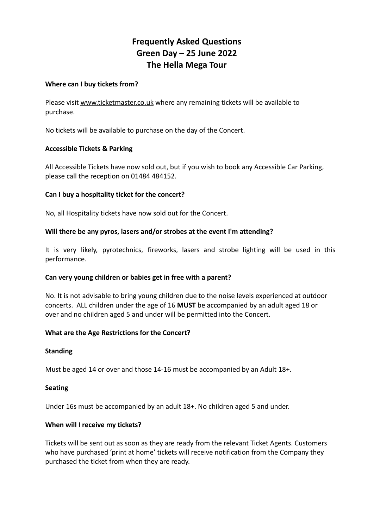# **Frequently Asked Questions Green Day – 25 June 2022 The Hella Mega Tour**

## **Where can I buy tickets from?**

Please visit [www.ticketmaster.co.uk](http://www.ticketmaster.co.uk) where any remaining tickets will be available to purchase.

No tickets will be available to purchase on the day of the Concert.

# **Accessible Tickets & Parking**

All Accessible Tickets have now sold out, but if you wish to book any Accessible Car Parking, please call the reception on 01484 484152.

# **Can I buy a hospitality ticket for the concert?**

No, all Hospitality tickets have now sold out for the Concert.

# **Will there be any pyros, lasers and/or strobes at the event I'm attending?**

It is very likely, pyrotechnics, fireworks, lasers and strobe lighting will be used in this performance.

#### **Can very young children or babies get in free with a parent?**

No. It is not advisable to bring young children due to the noise levels experienced at outdoor concerts. ALL children under the age of 16 **MUST** be accompanied by an adult aged 18 or over and no children aged 5 and under will be permitted into the Concert.

#### **What are the Age Restrictions for the Concert?**

#### **Standing**

Must be aged 14 or over and those 14-16 must be accompanied by an Adult 18+.

#### **Seating**

Under 16s must be accompanied by an adult 18+. No children aged 5 and under.

#### **When will I receive my tickets?**

Tickets will be sent out as soon as they are ready from the relevant Ticket Agents. Customers who have purchased 'print at home' tickets will receive notification from the Company they purchased the ticket from when they are ready.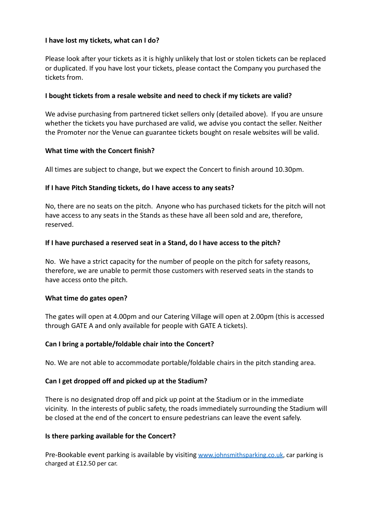# **I have lost my tickets, what can I do?**

Please look after your tickets as it is highly unlikely that lost or stolen tickets can be replaced or duplicated. If you have lost your tickets, please contact the Company you purchased the tickets from.

# **I bought tickets from a resale website and need to check if my tickets are valid?**

We advise purchasing from partnered ticket sellers only (detailed above). If you are unsure whether the tickets you have purchased are valid, we advise you contact the seller. Neither the Promoter nor the Venue can guarantee tickets bought on resale websites will be valid.

# **What time with the Concert finish?**

All times are subject to change, but we expect the Concert to finish around 10.30pm.

# **If I have Pitch Standing tickets, do I have access to any seats?**

No, there are no seats on the pitch. Anyone who has purchased tickets for the pitch will not have access to any seats in the Stands as these have all been sold and are, therefore, reserved.

# **If I have purchased a reserved seat in a Stand, do I have access to the pitch?**

No. We have a strict capacity for the number of people on the pitch for safety reasons, therefore, we are unable to permit those customers with reserved seats in the stands to have access onto the pitch.

#### **What time do gates open?**

The gates will open at 4.00pm and our Catering Village will open at 2.00pm (this is accessed through GATE A and only available for people with GATE A tickets).

# **Can I bring a portable/foldable chair into the Concert?**

No. We are not able to accommodate portable/foldable chairs in the pitch standing area.

# **Can I get dropped off and picked up at the Stadium?**

There is no designated drop off and pick up point at the Stadium or in the immediate vicinity. In the interests of public safety, the roads immediately surrounding the Stadium will be closed at the end of the concert to ensure pedestrians can leave the event safely.

#### **Is there parking available for the Concert?**

Pre-Bookable event parking is available by visiting [www.johnsmithsparking.co.uk](http://www.johnsmithsparking.co.uk), car parking is charged at £12.50 per car.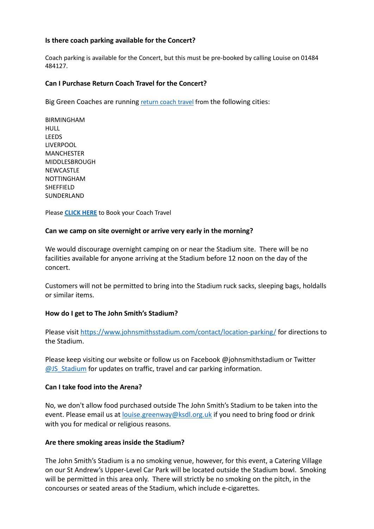## **Is there coach parking available for the Concert?**

Coach parking is available for the Concert, but this must be pre-booked by calling Louise on 01484 484127.

#### **Can I Purchase Return Coach Travel for the Concert?**

Big Green Coaches are running [return](https://www.biggreencoach.co.uk/events/green-day-hella-mega-tour) coach travel from the following cities:

BIRMINGHAM HULL **LEEDS** LIVERPOOL MANCHESTER MIDDLESBROUGH **NEWCASTLE** NOTTINGHAM **SHFFFIFLD** SUNDERLAND

Please **[CLICK](https://www.biggreencoach.co.uk/events/green-day-hella-mega-tour) HERE** to Book your Coach Travel

#### **Can we camp on site overnight or arrive very early in the morning?**

We would discourage overnight camping on or near the Stadium site. There will be no facilities available for anyone arriving at the Stadium before 12 noon on the day of the concert.

Customers will not be permitted to bring into the Stadium ruck sacks, sleeping bags, holdalls or similar items.

#### **How do I get to The John Smith's Stadium?**

Please visit <https://www.johnsmithsstadium.com/contact/location-parking/> for directions to the Stadium.

Please keep visiting our website or follow us on Facebook @johnsmithstadium or Twitter [@JS\\_Stadium](https://twitter.com/JS_Stadium) for updates on traffic, travel and car parking information.

#### **Can I take food into the Arena?**

No, we don't allow food purchased outside The John Smith's Stadium to be taken into the event. Please email us at [louise.greenway@ksdl.org.uk](mailto:louise.greenway@ksdl.org.uk) if you need to bring food or drink with you for medical or religious reasons.

#### **Are there smoking areas inside the Stadium?**

The John Smith's Stadium is a no smoking venue, however, for this event, a Catering Village on our St Andrew's Upper-Level Car Park will be located outside the Stadium bowl. Smoking will be permitted in this area only. There will strictly be no smoking on the pitch, in the concourses or seated areas of the Stadium, which include e-cigarettes.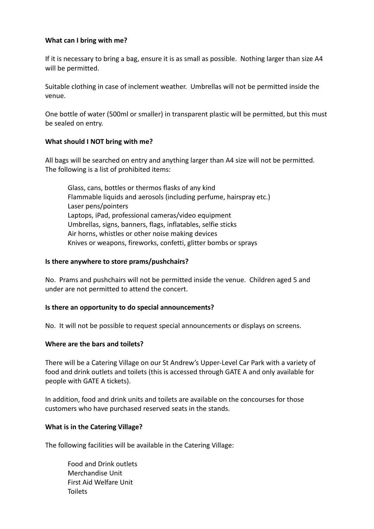## **What can I bring with me?**

If it is necessary to bring a bag, ensure it is as small as possible. Nothing larger than size A4 will be permitted.

Suitable clothing in case of inclement weather. Umbrellas will not be permitted inside the venue.

One bottle of water (500ml or smaller) in transparent plastic will be permitted, but this must be sealed on entry.

# **What should I NOT bring with me?**

All bags will be searched on entry and anything larger than A4 size will not be permitted. The following is a list of prohibited items:

Glass, cans, bottles or thermos flasks of any kind Flammable liquids and aerosols (including perfume, hairspray etc.) Laser pens/pointers Laptops, iPad, professional cameras/video equipment Umbrellas, signs, banners, flags, inflatables, selfie sticks Air horns, whistles or other noise making devices Knives or weapons, fireworks, confetti, glitter bombs or sprays

## **Is there anywhere to store prams/pushchairs?**

No. Prams and pushchairs will not be permitted inside the venue. Children aged 5 and under are not permitted to attend the concert.

#### **Is there an opportunity to do special announcements?**

No. It will not be possible to request special announcements or displays on screens.

#### **Where are the bars and toilets?**

There will be a Catering Village on our St Andrew's Upper-Level Car Park with a variety of food and drink outlets and toilets (this is accessed through GATE A and only available for people with GATE A tickets).

In addition, food and drink units and toilets are available on the concourses for those customers who have purchased reserved seats in the stands.

# **What is in the Catering Village?**

The following facilities will be available in the Catering Village:

Food and Drink outlets Merchandise Unit First Aid Welfare Unit Toilets